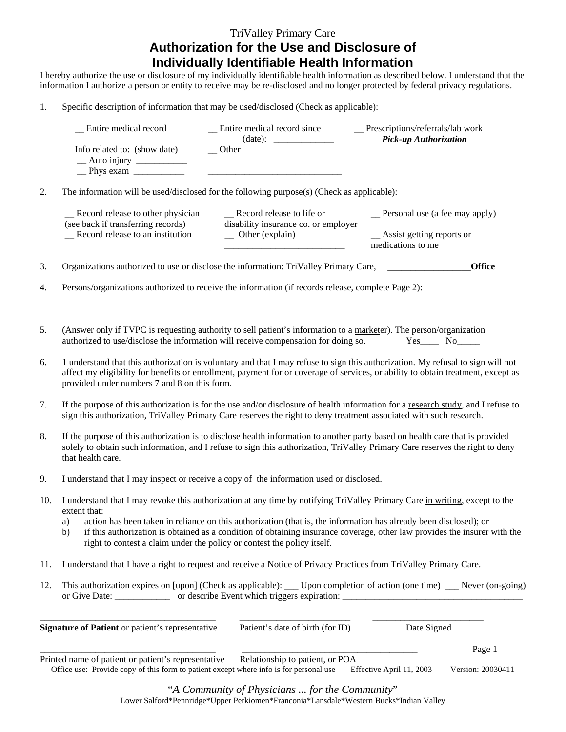## TriValley Primary Care **Authorization for the Use and Disclosure of Individually Identifiable Health Information**

I hereby authorize the use or disclosure of my individually identifiable health information as described below. I understand that the information I authorize a person or entity to receive may be re-disclosed and no longer protected by federal privacy regulations.

1. Specific description of information that may be used/disclosed (Check as applicable):

| $\sqrt{\phantom{a}}$ Other<br>Info related to: (show date)<br>$\_\$ Auto injury $\_\_\_\_\_\_\_\_\_\_\_\_\_\_\_$<br><u> 1986 - Jan Samuel Barbara, martin d</u><br>$\equiv$ Phys exam $\equiv$<br>2.<br>The information will be used/disclosed for the following purpose(s) (Check as applicable):<br>_Record release to life or<br>Record release to other physician<br>_Personal use (a fee may apply)<br>(see back if transferring records)<br>disability insurance co. or employer<br>Record release to an institution<br>$\equiv$ Other (explain)<br>_Assist getting reports or<br>medications to me<br>3.<br>Organizations authorized to use or disclose the information: TriValley Primary Care,<br><b>Office</b><br>Persons/organizations authorized to receive the information (if records release, complete Page 2):<br>4.<br>5.<br>(Answer only if TVPC is requesting authority to sell patient's information to a marketer). The person/organization<br>authorized to use/disclose the information will receive compensation for doing so.<br>$Yes$ No $N$<br>6.<br>provided under numbers 7 and 8 on this form.<br>7.<br>If the purpose of this authorization is for the use and/or disclosure of health information for a research study, and I refuse to<br>sign this authorization, TriValley Primary Care reserves the right to deny treatment associated with such research.<br>8.<br>If the purpose of this authorization is to disclose health information to another party based on health care that is provided<br>solely to obtain such information, and I refuse to sign this authorization, TriValley Primary Care reserves the right to deny<br>that health care.<br>9.<br>I understand that I may inspect or receive a copy of the information used or disclosed.<br>I understand that I may revoke this authorization at any time by notifying TriValley Primary Care in writing, except to the<br>10.<br>extent that:<br>action has been taken in reliance on this authorization (that is, the information has already been disclosed); or<br>a)<br>if this authorization is obtained as a condition of obtaining insurance coverage, other law provides the insurer with the<br>b)<br>right to contest a claim under the policy or contest the policy itself.<br>I understand that I have a right to request and receive a Notice of Privacy Practices from TriValley Primary Care.<br>11.<br>12.<br>This authorization expires on [upon] (Check as applicable): __ Upon completion of action (one time) __ Never (on-going)<br>Date Signed<br>Signature of Patient or patient's representative<br>Patient's date of birth (for ID)<br>Page 1<br>Printed name of patient or patient's representative<br>Relationship to patient, or POA | _ Entire medical record                                                                                                                                                                                                                                             | _ Entire medical record since | _Prescriptions/referrals/lab work<br>Pick-up Authorization |  |  |
|-----------------------------------------------------------------------------------------------------------------------------------------------------------------------------------------------------------------------------------------------------------------------------------------------------------------------------------------------------------------------------------------------------------------------------------------------------------------------------------------------------------------------------------------------------------------------------------------------------------------------------------------------------------------------------------------------------------------------------------------------------------------------------------------------------------------------------------------------------------------------------------------------------------------------------------------------------------------------------------------------------------------------------------------------------------------------------------------------------------------------------------------------------------------------------------------------------------------------------------------------------------------------------------------------------------------------------------------------------------------------------------------------------------------------------------------------------------------------------------------------------------------------------------------------------------------------------------------------------------------------------------------------------------------------------------------------------------------------------------------------------------------------------------------------------------------------------------------------------------------------------------------------------------------------------------------------------------------------------------------------------------------------------------------------------------------------------------------------------------------------------------------------------------------------------------------------------------------------------------------------------------------------------------------------------------------------------------------------------------------------------------------------------------------------------------------------------------------------------------------------------------------------------------------------------------------------------------------------------------------------------------------------------------------------------------------------------------------------------------------------------------------------|---------------------------------------------------------------------------------------------------------------------------------------------------------------------------------------------------------------------------------------------------------------------|-------------------------------|------------------------------------------------------------|--|--|
|                                                                                                                                                                                                                                                                                                                                                                                                                                                                                                                                                                                                                                                                                                                                                                                                                                                                                                                                                                                                                                                                                                                                                                                                                                                                                                                                                                                                                                                                                                                                                                                                                                                                                                                                                                                                                                                                                                                                                                                                                                                                                                                                                                                                                                                                                                                                                                                                                                                                                                                                                                                                                                                                                                                                                                       |                                                                                                                                                                                                                                                                     |                               |                                                            |  |  |
|                                                                                                                                                                                                                                                                                                                                                                                                                                                                                                                                                                                                                                                                                                                                                                                                                                                                                                                                                                                                                                                                                                                                                                                                                                                                                                                                                                                                                                                                                                                                                                                                                                                                                                                                                                                                                                                                                                                                                                                                                                                                                                                                                                                                                                                                                                                                                                                                                                                                                                                                                                                                                                                                                                                                                                       |                                                                                                                                                                                                                                                                     |                               |                                                            |  |  |
|                                                                                                                                                                                                                                                                                                                                                                                                                                                                                                                                                                                                                                                                                                                                                                                                                                                                                                                                                                                                                                                                                                                                                                                                                                                                                                                                                                                                                                                                                                                                                                                                                                                                                                                                                                                                                                                                                                                                                                                                                                                                                                                                                                                                                                                                                                                                                                                                                                                                                                                                                                                                                                                                                                                                                                       |                                                                                                                                                                                                                                                                     |                               |                                                            |  |  |
|                                                                                                                                                                                                                                                                                                                                                                                                                                                                                                                                                                                                                                                                                                                                                                                                                                                                                                                                                                                                                                                                                                                                                                                                                                                                                                                                                                                                                                                                                                                                                                                                                                                                                                                                                                                                                                                                                                                                                                                                                                                                                                                                                                                                                                                                                                                                                                                                                                                                                                                                                                                                                                                                                                                                                                       |                                                                                                                                                                                                                                                                     |                               |                                                            |  |  |
|                                                                                                                                                                                                                                                                                                                                                                                                                                                                                                                                                                                                                                                                                                                                                                                                                                                                                                                                                                                                                                                                                                                                                                                                                                                                                                                                                                                                                                                                                                                                                                                                                                                                                                                                                                                                                                                                                                                                                                                                                                                                                                                                                                                                                                                                                                                                                                                                                                                                                                                                                                                                                                                                                                                                                                       |                                                                                                                                                                                                                                                                     |                               |                                                            |  |  |
|                                                                                                                                                                                                                                                                                                                                                                                                                                                                                                                                                                                                                                                                                                                                                                                                                                                                                                                                                                                                                                                                                                                                                                                                                                                                                                                                                                                                                                                                                                                                                                                                                                                                                                                                                                                                                                                                                                                                                                                                                                                                                                                                                                                                                                                                                                                                                                                                                                                                                                                                                                                                                                                                                                                                                                       |                                                                                                                                                                                                                                                                     |                               |                                                            |  |  |
|                                                                                                                                                                                                                                                                                                                                                                                                                                                                                                                                                                                                                                                                                                                                                                                                                                                                                                                                                                                                                                                                                                                                                                                                                                                                                                                                                                                                                                                                                                                                                                                                                                                                                                                                                                                                                                                                                                                                                                                                                                                                                                                                                                                                                                                                                                                                                                                                                                                                                                                                                                                                                                                                                                                                                                       |                                                                                                                                                                                                                                                                     |                               |                                                            |  |  |
|                                                                                                                                                                                                                                                                                                                                                                                                                                                                                                                                                                                                                                                                                                                                                                                                                                                                                                                                                                                                                                                                                                                                                                                                                                                                                                                                                                                                                                                                                                                                                                                                                                                                                                                                                                                                                                                                                                                                                                                                                                                                                                                                                                                                                                                                                                                                                                                                                                                                                                                                                                                                                                                                                                                                                                       |                                                                                                                                                                                                                                                                     |                               |                                                            |  |  |
|                                                                                                                                                                                                                                                                                                                                                                                                                                                                                                                                                                                                                                                                                                                                                                                                                                                                                                                                                                                                                                                                                                                                                                                                                                                                                                                                                                                                                                                                                                                                                                                                                                                                                                                                                                                                                                                                                                                                                                                                                                                                                                                                                                                                                                                                                                                                                                                                                                                                                                                                                                                                                                                                                                                                                                       |                                                                                                                                                                                                                                                                     |                               |                                                            |  |  |
|                                                                                                                                                                                                                                                                                                                                                                                                                                                                                                                                                                                                                                                                                                                                                                                                                                                                                                                                                                                                                                                                                                                                                                                                                                                                                                                                                                                                                                                                                                                                                                                                                                                                                                                                                                                                                                                                                                                                                                                                                                                                                                                                                                                                                                                                                                                                                                                                                                                                                                                                                                                                                                                                                                                                                                       | 1 understand that this authorization is voluntary and that I may refuse to sign this authorization. My refusal to sign will not<br>affect my eligibility for benefits or enrollment, payment for or coverage of services, or ability to obtain treatment, except as |                               |                                                            |  |  |
|                                                                                                                                                                                                                                                                                                                                                                                                                                                                                                                                                                                                                                                                                                                                                                                                                                                                                                                                                                                                                                                                                                                                                                                                                                                                                                                                                                                                                                                                                                                                                                                                                                                                                                                                                                                                                                                                                                                                                                                                                                                                                                                                                                                                                                                                                                                                                                                                                                                                                                                                                                                                                                                                                                                                                                       |                                                                                                                                                                                                                                                                     |                               |                                                            |  |  |
|                                                                                                                                                                                                                                                                                                                                                                                                                                                                                                                                                                                                                                                                                                                                                                                                                                                                                                                                                                                                                                                                                                                                                                                                                                                                                                                                                                                                                                                                                                                                                                                                                                                                                                                                                                                                                                                                                                                                                                                                                                                                                                                                                                                                                                                                                                                                                                                                                                                                                                                                                                                                                                                                                                                                                                       |                                                                                                                                                                                                                                                                     |                               |                                                            |  |  |
|                                                                                                                                                                                                                                                                                                                                                                                                                                                                                                                                                                                                                                                                                                                                                                                                                                                                                                                                                                                                                                                                                                                                                                                                                                                                                                                                                                                                                                                                                                                                                                                                                                                                                                                                                                                                                                                                                                                                                                                                                                                                                                                                                                                                                                                                                                                                                                                                                                                                                                                                                                                                                                                                                                                                                                       |                                                                                                                                                                                                                                                                     |                               |                                                            |  |  |
|                                                                                                                                                                                                                                                                                                                                                                                                                                                                                                                                                                                                                                                                                                                                                                                                                                                                                                                                                                                                                                                                                                                                                                                                                                                                                                                                                                                                                                                                                                                                                                                                                                                                                                                                                                                                                                                                                                                                                                                                                                                                                                                                                                                                                                                                                                                                                                                                                                                                                                                                                                                                                                                                                                                                                                       |                                                                                                                                                                                                                                                                     |                               |                                                            |  |  |
|                                                                                                                                                                                                                                                                                                                                                                                                                                                                                                                                                                                                                                                                                                                                                                                                                                                                                                                                                                                                                                                                                                                                                                                                                                                                                                                                                                                                                                                                                                                                                                                                                                                                                                                                                                                                                                                                                                                                                                                                                                                                                                                                                                                                                                                                                                                                                                                                                                                                                                                                                                                                                                                                                                                                                                       |                                                                                                                                                                                                                                                                     |                               |                                                            |  |  |
|                                                                                                                                                                                                                                                                                                                                                                                                                                                                                                                                                                                                                                                                                                                                                                                                                                                                                                                                                                                                                                                                                                                                                                                                                                                                                                                                                                                                                                                                                                                                                                                                                                                                                                                                                                                                                                                                                                                                                                                                                                                                                                                                                                                                                                                                                                                                                                                                                                                                                                                                                                                                                                                                                                                                                                       |                                                                                                                                                                                                                                                                     |                               |                                                            |  |  |
|                                                                                                                                                                                                                                                                                                                                                                                                                                                                                                                                                                                                                                                                                                                                                                                                                                                                                                                                                                                                                                                                                                                                                                                                                                                                                                                                                                                                                                                                                                                                                                                                                                                                                                                                                                                                                                                                                                                                                                                                                                                                                                                                                                                                                                                                                                                                                                                                                                                                                                                                                                                                                                                                                                                                                                       |                                                                                                                                                                                                                                                                     |                               |                                                            |  |  |
|                                                                                                                                                                                                                                                                                                                                                                                                                                                                                                                                                                                                                                                                                                                                                                                                                                                                                                                                                                                                                                                                                                                                                                                                                                                                                                                                                                                                                                                                                                                                                                                                                                                                                                                                                                                                                                                                                                                                                                                                                                                                                                                                                                                                                                                                                                                                                                                                                                                                                                                                                                                                                                                                                                                                                                       |                                                                                                                                                                                                                                                                     |                               |                                                            |  |  |
|                                                                                                                                                                                                                                                                                                                                                                                                                                                                                                                                                                                                                                                                                                                                                                                                                                                                                                                                                                                                                                                                                                                                                                                                                                                                                                                                                                                                                                                                                                                                                                                                                                                                                                                                                                                                                                                                                                                                                                                                                                                                                                                                                                                                                                                                                                                                                                                                                                                                                                                                                                                                                                                                                                                                                                       |                                                                                                                                                                                                                                                                     |                               |                                                            |  |  |
| Office use: Provide copy of this form to patient except where info is for personal use<br>Effective April 11, 2003                                                                                                                                                                                                                                                                                                                                                                                                                                                                                                                                                                                                                                                                                                                                                                                                                                                                                                                                                                                                                                                                                                                                                                                                                                                                                                                                                                                                                                                                                                                                                                                                                                                                                                                                                                                                                                                                                                                                                                                                                                                                                                                                                                                                                                                                                                                                                                                                                                                                                                                                                                                                                                                    |                                                                                                                                                                                                                                                                     |                               | Version: 20030411                                          |  |  |